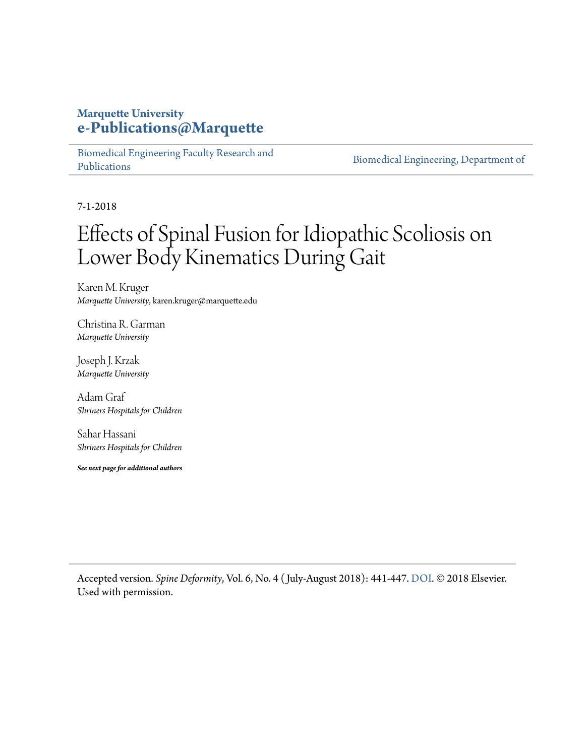#### **Marquette University [e-Publications@Marquette](https://epublications.marquette.edu/)**

[Biomedical Engineering Faculty Research and](https://epublications.marquette.edu/bioengin_fac) [Publications](https://epublications.marquette.edu/bioengin_fac)

[Biomedical Engineering, Department of](https://epublications.marquette.edu/bioengin)

7-1-2018

## Effects of Spinal Fusion for Idiopathic Scoliosis on Lower Body Kinematics During Gait

Karen M. Kruger *Marquette University*, karen.kruger@marquette.edu

Christina R. Garman *Marquette University*

Joseph J. Krzak *Marquette University*

Adam Graf *Shriners Hospitals for Children*

Sahar Hassani *Shriners Hospitals for Children*

*See next page for additional authors*

Accepted version. *Spine Deformity*, Vol. 6, No. 4 ( July-August 2018): 441-447. [DOI](https://doi.org/10.1016/j.jspd.2017.12.008). © 2018 Elsevier. Used with permission.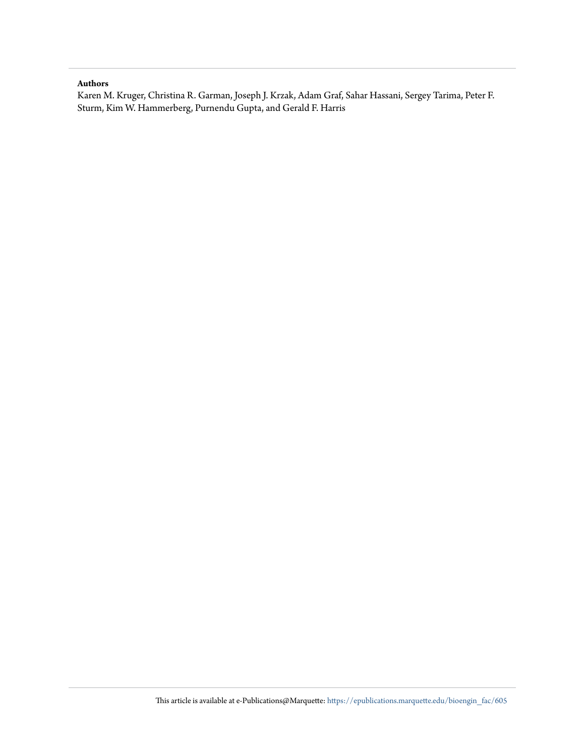#### **Authors**

Karen M. Kruger, Christina R. Garman, Joseph J. Krzak, Adam Graf, Sahar Hassani, Sergey Tarima, Peter F. Sturm, Kim W. Hammerberg, Purnendu Gupta, and Gerald F. Harris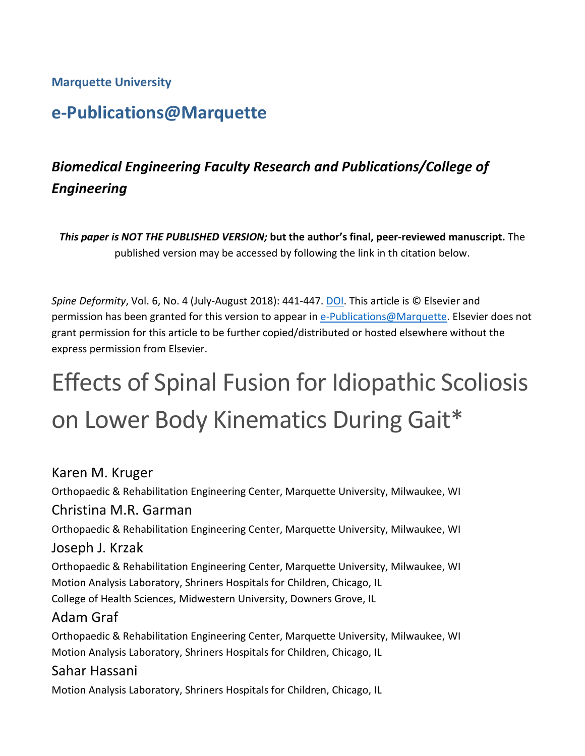#### **Marquette University**

### **e-Publications@Marquette**

### *Biomedical Engineering Faculty Research and Publications/College of Engineering*

*This paper is NOT THE PUBLISHED VERSION;* **but the author's final, peer-reviewed manuscript.** The published version may be accessed by following the link in th citation below.

*Spine Deformity*, Vol. 6, No. 4 (July-August 2018): 441-447. [DOI.](https://doi.org/10.1016/j.jspd.2017.12.008) This article is © Elsevier and permission has been granted for this version to appear in [e-Publications@Marquette.](http://epublications.marquette.edu/) Elsevier does not grant permission for this article to be further copied/distributed or hosted elsewhere without the express permission from Elsevier.

# Effects of Spinal Fusion for Idiopathic Scoliosis on Lower Body Kinematics During Gait\*

#### Karen M. Kruger

Orthopaedic & Rehabilitation Engineering Center, Marquette University, Milwaukee, WI

#### Christina M.R. Garman

Orthopaedic & Rehabilitation Engineering Center, Marquette University, Milwaukee, WI

#### Joseph J. Krzak

Orthopaedic & Rehabilitation Engineering Center, Marquette University, Milwaukee, WI Motion Analysis Laboratory, Shriners Hospitals for Children, Chicago, IL College of Health Sciences, Midwestern University, Downers Grove, IL

#### Adam Graf

Orthopaedic & Rehabilitation Engineering Center, Marquette University, Milwaukee, WI Motion Analysis Laboratory, Shriners Hospitals for Children, Chicago, IL

#### Sahar Hassani

Motion Analysis Laboratory, Shriners Hospitals for Children, Chicago, IL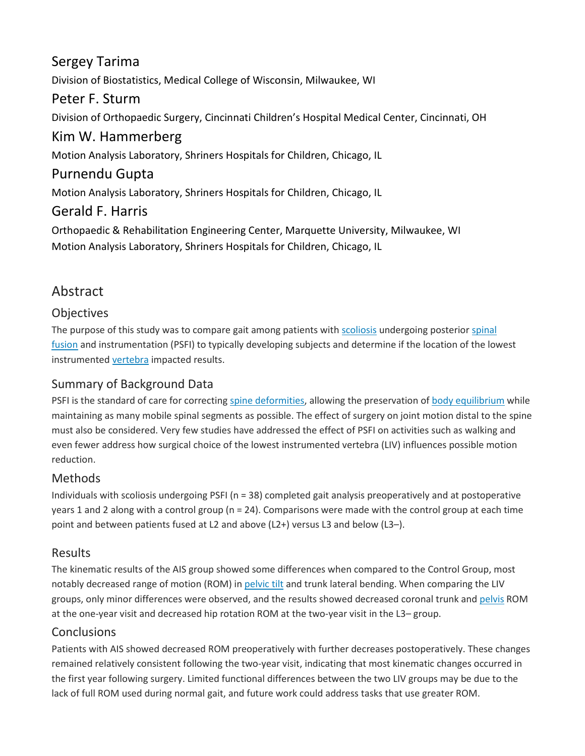#### Sergey Tarima

Division of Biostatistics, Medical College of Wisconsin, Milwaukee, WI

#### Peter F. Sturm

Division of Orthopaedic Surgery, Cincinnati Children's Hospital Medical Center, Cincinnati, OH

#### Kim W. Hammerberg

Motion Analysis Laboratory, Shriners Hospitals for Children, Chicago, IL

#### Purnendu Gupta

Motion Analysis Laboratory, Shriners Hospitals for Children, Chicago, IL

#### Gerald F. Harris

Orthopaedic & Rehabilitation Engineering Center, Marquette University, Milwaukee, WI Motion Analysis Laboratory, Shriners Hospitals for Children, Chicago, IL

#### Abstract

#### **Objectives**

The purpose of this study was to compare gait among patients with [scoliosis](https://www.sciencedirect.com/topics/medicine-and-dentistry/scoliosis) undergoing posterior spinal [fusion](https://www.sciencedirect.com/topics/medicine-and-dentistry/spinal-fusion) and instrumentation (PSFI) to typically developing subjects and determine if the location of the lowest instrumented [vertebra](https://www.sciencedirect.com/topics/medicine-and-dentistry/vertebra) impacted results.

#### Summary of Background Data

PSFI is the standard of care for correcting [spine deformities,](https://www.sciencedirect.com/topics/medicine-and-dentistry/spine-malformation) allowing the preservation of [body equilibrium](https://www.sciencedirect.com/topics/medicine-and-dentistry/body-equilibrium) while maintaining as many mobile spinal segments as possible. The effect of surgery on joint motion distal to the spine must also be considered. Very few studies have addressed the effect of PSFI on activities such as walking and even fewer address how surgical choice of the lowest instrumented vertebra (LIV) influences possible motion reduction.

#### Methods

Individuals with scoliosis undergoing PSFI (n = 38) completed gait analysis preoperatively and at postoperative years 1 and 2 along with a control group (n = 24). Comparisons were made with the control group at each time point and between patients fused at L2 and above (L2+) versus L3 and below (L3–).

#### Results

The kinematic results of the AIS group showed some differences when compared to the Control Group, most notably decreased range of motion (ROM) in [pelvic tilt](https://www.sciencedirect.com/topics/medicine-and-dentistry/pelvic-tilt) and trunk lateral bending. When comparing the LIV groups, only minor differences were observed, and the results showed decreased coronal trunk and [pelvis](https://www.sciencedirect.com/topics/medicine-and-dentistry/pelvis) ROM at the one-year visit and decreased hip rotation ROM at the two-year visit in the L3– group.

#### Conclusions

Patients with AIS showed decreased ROM preoperatively with further decreases postoperatively. These changes remained relatively consistent following the two-year visit, indicating that most kinematic changes occurred in the first year following surgery. Limited functional differences between the two LIV groups may be due to the lack of full ROM used during normal gait, and future work could address tasks that use greater ROM.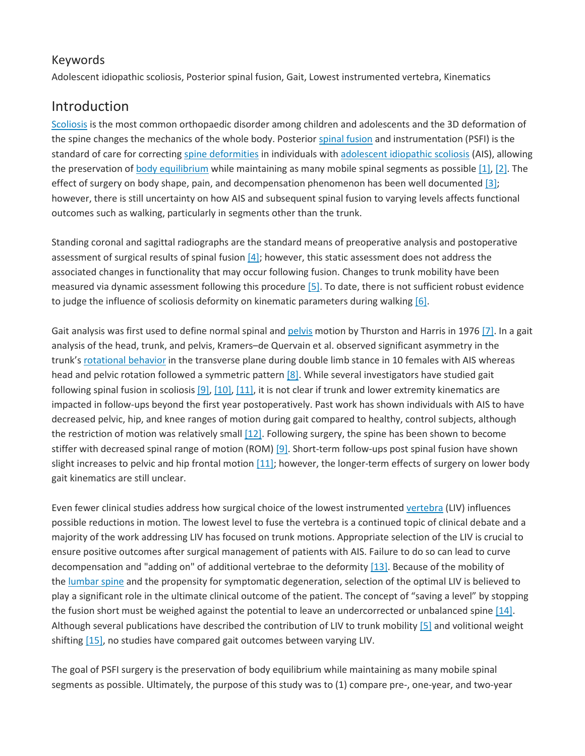#### Keywords

Adolescent idiopathic scoliosis, Posterior spinal fusion, Gait, Lowest instrumented vertebra, Kinematics

#### Introduction

[Scoliosis](https://www.sciencedirect.com/topics/medicine-and-dentistry/scoliosis) is the most common orthopaedic disorder among children and adolescents and the 3D deformation of the spine changes the mechanics of the whole body. Posterior [spinal fusion](https://www.sciencedirect.com/topics/medicine-and-dentistry/spinal-fusion) and instrumentation (PSFI) is the standard of care for correcting [spine deformities](https://www.sciencedirect.com/topics/medicine-and-dentistry/spine-malformation) in individuals with [adolescent idiopathic scoliosis](https://www.sciencedirect.com/topics/medicine-and-dentistry/adolescent-idiopathic-scoliosis) (AIS), allowing the preservation of [body equilibrium](https://www.sciencedirect.com/topics/medicine-and-dentistry/body-equilibrium) while maintaining as many mobile spinal segments as possible  $[1]$ ,  $[2]$ . The effect of surgery on body shape, pain, and decompensation phenomenon has been well documented  $[3]$ ; however, there is still uncertainty on how AIS and subsequent spinal fusion to varying levels affects functional outcomes such as walking, particularly in segments other than the trunk.

Standing coronal and sagittal radiographs are the standard means of preoperative analysis and postoperative assessment of surgical results of spinal fusion  $[4]$ ; however, this static assessment does not address the associated changes in functionality that may occur following fusion. Changes to trunk mobility have been measured via dynamic assessment following this procedure  $[5]$ . To date, there is not sufficient robust evidence to judge the influence of scoliosis deformity on kinematic parameters during walking [\[6\].](https://www.sciencedirect.com/science/article/pii/S2212134X17304471?via%3Dihub#bib6)

Gait analysis was first used to define normal spinal and [pelvis](https://www.sciencedirect.com/topics/medicine-and-dentistry/pelvis) motion by Thurston and Harris in 1976 [\[7\].](https://www.sciencedirect.com/science/article/pii/S2212134X17304471?via%3Dihub#bib7) In a gait analysis of the head, trunk, and pelvis, Kramers–de Quervain et al. observed significant asymmetry in the trunk's [rotational behavior](https://www.sciencedirect.com/topics/medicine-and-dentistry/circling-behavior) in the transverse plane during double limb stance in 10 females with AIS whereas head and pelvic rotation followed a symmetric pattern [\[8\].](https://www.sciencedirect.com/science/article/pii/S2212134X17304471?via%3Dihub#bib8) While several investigators have studied gait following spinal fusion in scoliosis  $[9]$ ,  $[10]$ ,  $[11]$ , it is not clear if trunk and lower extremity kinematics are impacted in follow-ups beyond the first year postoperatively. Past work has shown individuals with AIS to have decreased pelvic, hip, and knee ranges of motion during gait compared to healthy, control subjects, although the restriction of motion was relatively small  $[12]$ . Following surgery, the spine has been shown to become stiffer with decreased spinal range of motion (ROM) [\[9\].](https://www.sciencedirect.com/science/article/pii/S2212134X17304471?via%3Dihub#bib9) Short-term follow-ups post spinal fusion have shown slight increases to pelvic and hip frontal motion  $[11]$ ; however, the longer-term effects of surgery on lower body gait kinematics are still unclear.

Even fewer clinical studies address how surgical choice of the lowest instrumented [vertebra](https://www.sciencedirect.com/topics/medicine-and-dentistry/vertebra) (LIV) influences possible reductions in motion. The lowest level to fuse the vertebra is a continued topic of clinical debate and a majority of the work addressing LIV has focused on trunk motions. Appropriate selection of the LIV is crucial to ensure positive outcomes after surgical management of patients with AIS. Failure to do so can lead to curve decompensation and "adding on" of additional vertebrae to the deformity [\[13\].](https://www.sciencedirect.com/science/article/pii/S2212134X17304471?via%3Dihub#bib13) Because of the mobility of the [lumbar spine](https://www.sciencedirect.com/topics/medicine-and-dentistry/lumbar-spine) and the propensity for symptomatic degeneration, selection of the optimal LIV is believed to play a significant role in the ultimate clinical outcome of the patient. The concept of "saving a level" by stopping the fusion short must be weighed against the potential to leave an undercorrected or unbalanced spine [\[14\].](https://www.sciencedirect.com/science/article/pii/S2212134X17304471?via%3Dihub#bib14) Although several publications have described the contribution of LIV to trunk mobility [\[5\]](https://www.sciencedirect.com/science/article/pii/S2212134X17304471?via%3Dihub#bib5) and volitional weight shifting [\[15\],](https://www.sciencedirect.com/science/article/pii/S2212134X17304471?via%3Dihub#bib15) no studies have compared gait outcomes between varying LIV.

The goal of PSFI surgery is the preservation of body equilibrium while maintaining as many mobile spinal segments as possible. Ultimately, the purpose of this study was to (1) compare pre-, one-year, and two-year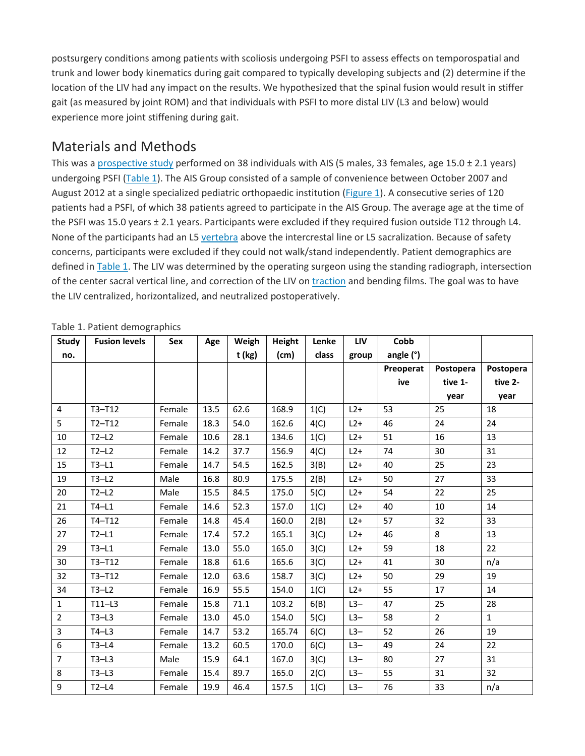postsurgery conditions among patients with scoliosis undergoing PSFI to assess effects on temporospatial and trunk and lower body kinematics during gait compared to typically developing subjects and (2) determine if the location of the LIV had any impact on the results. We hypothesized that the spinal fusion would result in stiffer gait (as measured by joint ROM) and that individuals with PSFI to more distal LIV (L3 and below) would experience more joint stiffening during gait.

#### Materials and Methods

This was a [prospective study](https://www.sciencedirect.com/topics/medicine-and-dentistry/prospective-study) performed on 38 individuals with AIS (5 males, 33 females, age 15.0 ± 2.1 years) undergoing PSFI [\(Table](https://www.sciencedirect.com/science/article/pii/S2212134X17304471?via%3Dihub#tbl1) 1). The AIS Group consisted of a sample of convenience between October 2007 and August 2012 at a single specialized pediatric orthopaedic institution (*Figure 1*). A consecutive series of 120 patients had a PSFI, of which 38 patients agreed to participate in the AIS Group. The average age at the time of the PSFI was 15.0 years ± 2.1 years. Participants were excluded if they required fusion outside T12 through L4. None of the participants had an L5 [vertebra](https://www.sciencedirect.com/topics/medicine-and-dentistry/vertebra) above the intercrestal line or L5 sacralization. Because of safety concerns, participants were excluded if they could not walk/stand independently. Patient demographics are defined in [Table](https://www.sciencedirect.com/science/article/pii/S2212134X17304471?via%3Dihub#tbl1) 1. The LIV was determined by the operating surgeon using the standing radiograph, intersection of the center sacral vertical line, and correction of the LIV on [traction](https://www.sciencedirect.com/topics/medicine-and-dentistry/traction-therapy) and bending films. The goal was to have the LIV centralized, horizontalized, and neutralized postoperatively.

| Study          | <b>Fusion levels</b> | Sex    | Age  | Weigh  | Height | Lenke | LIV   | Cobb        |                |              |
|----------------|----------------------|--------|------|--------|--------|-------|-------|-------------|----------------|--------------|
| no.            |                      |        |      | t (kg) | (cm)   | class | group | angle $(°)$ |                |              |
|                |                      |        |      |        |        |       |       | Preoperat   | Postopera      | Postopera    |
|                |                      |        |      |        |        |       |       | ive         | tive 1-        | tive 2-      |
|                |                      |        |      |        |        |       |       |             | year           | year         |
| 4              | $T3-T12$             | Female | 13.5 | 62.6   | 168.9  | 1(C)  | $L2+$ | 53          | 25             | 18           |
| 5              | $T2-T12$             | Female | 18.3 | 54.0   | 162.6  | 4(C)  | $L2+$ | 46          | 24             | 24           |
| $10\,$         | $T2-L2$              | Female | 10.6 | 28.1   | 134.6  | 1(C)  | $L2+$ | 51          | 16             | 13           |
| 12             | $T2-L2$              | Female | 14.2 | 37.7   | 156.9  | 4(C)  | $L2+$ | 74          | 30             | 31           |
| 15             | $T3-L1$              | Female | 14.7 | 54.5   | 162.5  | 3(B)  | $L2+$ | 40          | 25             | 23           |
| 19             | $T3-L2$              | Male   | 16.8 | 80.9   | 175.5  | 2(B)  | $L2+$ | 50          | 27             | 33           |
| 20             | $T2-L2$              | Male   | 15.5 | 84.5   | 175.0  | 5(C)  | $L2+$ | 54          | 22             | 25           |
| 21             | $T4-L1$              | Female | 14.6 | 52.3   | 157.0  | 1(C)  | $L2+$ | 40          | 10             | 14           |
| 26             | $T4-T12$             | Female | 14.8 | 45.4   | 160.0  | 2(B)  | $L2+$ | 57          | 32             | 33           |
| 27             | $T2-L1$              | Female | 17.4 | 57.2   | 165.1  | 3(C)  | $L2+$ | 46          | 8              | 13           |
| 29             | $T3-L1$              | Female | 13.0 | 55.0   | 165.0  | 3(C)  | $L2+$ | 59          | 18             | 22           |
| 30             | $T3-T12$             | Female | 18.8 | 61.6   | 165.6  | 3(C)  | $L2+$ | 41          | 30             | n/a          |
| 32             | $T3-T12$             | Female | 12.0 | 63.6   | 158.7  | 3(C)  | $L2+$ | 50          | 29             | 19           |
| 34             | $T3-L2$              | Female | 16.9 | 55.5   | 154.0  | 1(C)  | $L2+$ | 55          | 17             | 14           |
| $\mathbf{1}$   | $T11-L3$             | Female | 15.8 | 71.1   | 103.2  | 6(B)  | $L3-$ | 47          | 25             | 28           |
| $\overline{2}$ | $T3-L3$              | Female | 13.0 | 45.0   | 154.0  | 5(C)  | $L3-$ | 58          | $\overline{2}$ | $\mathbf{1}$ |
| $\overline{3}$ | $T4-L3$              | Female | 14.7 | 53.2   | 165.74 | 6(C)  | $L3-$ | 52          | 26             | 19           |
| 6              | $T3-L4$              | Female | 13.2 | 60.5   | 170.0  | 6(C)  | $L3-$ | 49          | 24             | 22           |
| $\overline{7}$ | $T3-L3$              | Male   | 15.9 | 64.1   | 167.0  | 3(C)  | $L3-$ | 80          | 27             | 31           |
| 8              | $T3-L3$              | Female | 15.4 | 89.7   | 165.0  | 2(C)  | $L3-$ | 55          | 31             | 32           |
| 9              | $T2-L4$              | Female | 19.9 | 46.4   | 157.5  | 1(C)  | $L3-$ | 76          | 33             | n/a          |

Table 1. Patient demographics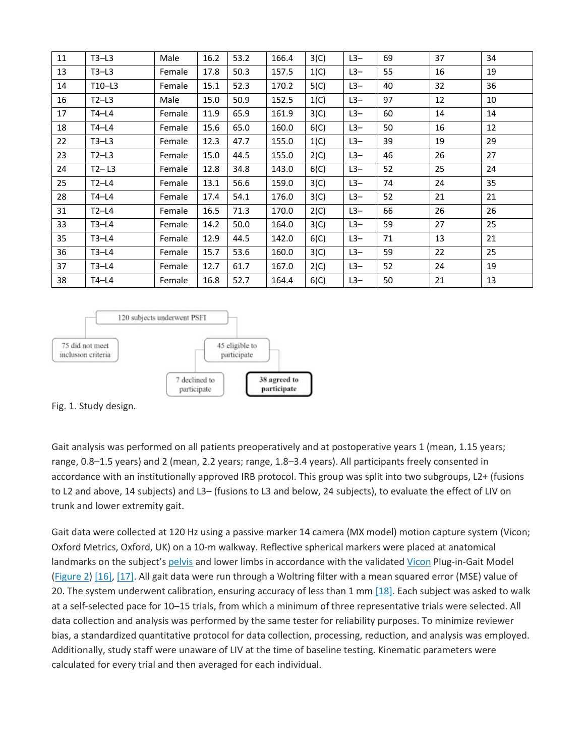| 11 | $T3-L3$   | Male   | 16.2 | 53.2 | 166.4 | 3(C) | $L3-$ | 69 | 37 | 34 |
|----|-----------|--------|------|------|-------|------|-------|----|----|----|
| 13 | $T3-L3$   | Female | 17.8 | 50.3 | 157.5 | 1(C) | $L3-$ | 55 | 16 | 19 |
| 14 | $T10-L3$  | Female | 15.1 | 52.3 | 170.2 | 5(C) | $L3-$ | 40 | 32 | 36 |
| 16 | $T2-L3$   | Male   | 15.0 | 50.9 | 152.5 | 1(C) | $L3-$ | 97 | 12 | 10 |
| 17 | $T4-L4$   | Female | 11.9 | 65.9 | 161.9 | 3(C) | $L3-$ | 60 | 14 | 14 |
| 18 | T4-L4     | Female | 15.6 | 65.0 | 160.0 | 6(C) | $L3-$ | 50 | 16 | 12 |
| 22 | $T3-L3$   | Female | 12.3 | 47.7 | 155.0 | 1(C) | $L3-$ | 39 | 19 | 29 |
| 23 | $T2-L3$   | Female | 15.0 | 44.5 | 155.0 | 2(C) | $L3-$ | 46 | 26 | 27 |
| 24 | $T2 - L3$ | Female | 12.8 | 34.8 | 143.0 | 6(C) | $L3-$ | 52 | 25 | 24 |
| 25 | $T2-L4$   | Female | 13.1 | 56.6 | 159.0 | 3(C) | $L3-$ | 74 | 24 | 35 |
| 28 | T4-L4     | Female | 17.4 | 54.1 | 176.0 | 3(C) | $L3-$ | 52 | 21 | 21 |
| 31 | $T2-L4$   | Female | 16.5 | 71.3 | 170.0 | 2(C) | $L3-$ | 66 | 26 | 26 |
| 33 | $T3-L4$   | Female | 14.2 | 50.0 | 164.0 | 3(C) | $L3-$ | 59 | 27 | 25 |
| 35 | $T3-L4$   | Female | 12.9 | 44.5 | 142.0 | 6(C) | $L3-$ | 71 | 13 | 21 |
| 36 | $T3-L4$   | Female | 15.7 | 53.6 | 160.0 | 3(C) | $L3-$ | 59 | 22 | 25 |
| 37 | $T3-L4$   | Female | 12.7 | 61.7 | 167.0 | 2(C) | $L3-$ | 52 | 24 | 19 |
| 38 | $T4-L4$   | Female | 16.8 | 52.7 | 164.4 | 6(C) | $L3-$ | 50 | 21 | 13 |



Fig. 1. Study design.

Gait analysis was performed on all patients preoperatively and at postoperative years 1 (mean, 1.15 years; range, 0.8–1.5 years) and 2 (mean, 2.2 years; range, 1.8–3.4 years). All participants freely consented in accordance with an institutionally approved IRB protocol. This group was split into two subgroups, L2+ (fusions to L2 and above, 14 subjects) and L3– (fusions to L3 and below, 24 subjects), to evaluate the effect of LIV on trunk and lower extremity gait.

Gait data were collected at 120 Hz using a passive marker 14 camera (MX model) motion capture system (Vicon; Oxford Metrics, Oxford, UK) on a 10-m walkway. Reflective spherical markers were placed at anatomical landmarks on the subject's [pelvis](https://www.sciencedirect.com/topics/medicine-and-dentistry/pelvis) and lower limbs in accordance with the validated [Vicon](https://www.sciencedirect.com/topics/medicine-and-dentistry/ascorbic-acid) Plug-in-Gait Model [\(Figure](https://www.sciencedirect.com/science/article/pii/S2212134X17304471?via%3Dihub#fig2) 2) [\[16\],](https://www.sciencedirect.com/science/article/pii/S2212134X17304471?via%3Dihub#bib16) [\[17\].](https://www.sciencedirect.com/science/article/pii/S2212134X17304471?via%3Dihub#bib17) All gait data were run through a Woltring filter with a mean squared error (MSE) value of 20. The system underwent calibration, ensuring accuracy of less than 1 mm [\[18\].](https://www.sciencedirect.com/science/article/pii/S2212134X17304471?via%3Dihub#bib18) Each subject was asked to walk at a self-selected pace for 10–15 trials, from which a minimum of three representative trials were selected. All data collection and analysis was performed by the same tester for reliability purposes. To minimize reviewer bias, a standardized quantitative protocol for data collection, processing, reduction, and analysis was employed. Additionally, study staff were unaware of LIV at the time of baseline testing. Kinematic parameters were calculated for every trial and then averaged for each individual.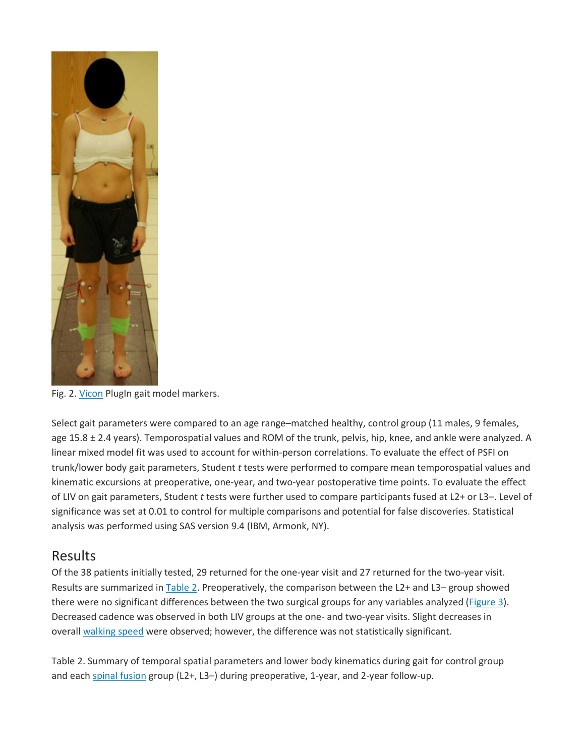

Fig. 2. [Vicon](https://www.sciencedirect.com/topics/medicine-and-dentistry/ascorbic-acid) PlugIn gait model markers.

Select gait parameters were compared to an age range–matched healthy, control group (11 males, 9 females, age 15.8 ± 2.4 years). Temporospatial values and ROM of the trunk, pelvis, hip, knee, and ankle were analyzed. A linear mixed model fit was used to account for within-person correlations. To evaluate the effect of PSFI on trunk/lower body gait parameters, Student *t* tests were performed to compare mean temporospatial values and kinematic excursions at preoperative, one-year, and two-year postoperative time points. To evaluate the effect of LIV on gait parameters, Student *t* tests were further used to compare participants fused at L2+ or L3–. Level of significance was set at 0.01 to control for multiple comparisons and potential for false discoveries. Statistical analysis was performed using SAS version 9.4 (IBM, Armonk, NY).

#### Results

Of the 38 patients initially tested, 29 returned for the one-year visit and 27 returned for the two-year visit. Results are summarized in [Table](https://www.sciencedirect.com/science/article/pii/S2212134X17304471?via%3Dihub#tbl2) 2. Preoperatively, the comparison between the L2+ and L3- group showed there were no significant differences between the two surgical groups for any variables analyzed (*Figure 3*). Decreased cadence was observed in both LIV groups at the one- and two-year visits. Slight decreases in overall [walking speed](https://www.sciencedirect.com/topics/medicine-and-dentistry/walking-speed) were observed; however, the difference was not statistically significant.

Table 2. Summary of temporal spatial parameters and lower body kinematics during gait for control group and each [spinal fusion](https://www.sciencedirect.com/topics/medicine-and-dentistry/spinal-fusion) group (L2+, L3-) during preoperative, 1-year, and 2-year follow-up.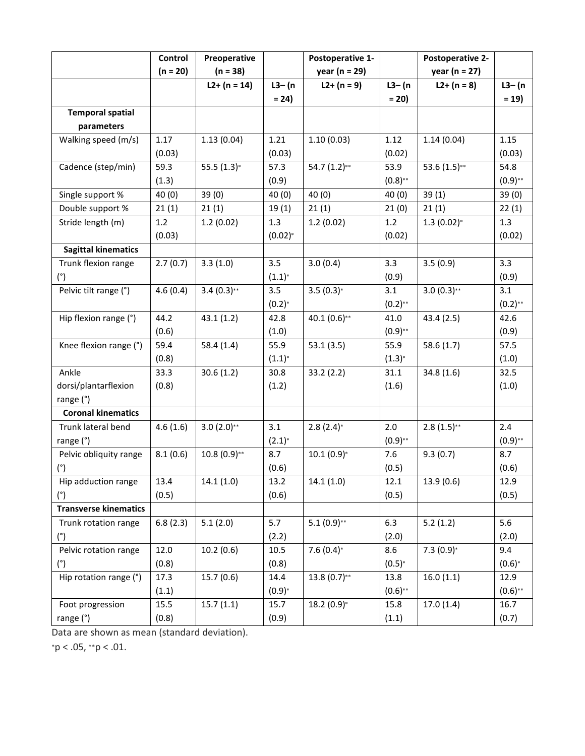|                              | Control    | Preoperative   |             | Postoperative 1-  |              | Postoperative 2-  |            |
|------------------------------|------------|----------------|-------------|-------------------|--------------|-------------------|------------|
|                              | $(n = 20)$ | $(n = 38)$     |             | year ( $n = 29$ ) |              | year ( $n = 27$ ) |            |
|                              |            | $L2+ (n = 14)$ | $L3-$ (n    | $L2+ (n = 9)$     | $L3-$ (n     | $L2+ (n = 8)$     | $L3-$ (n   |
|                              |            |                | $= 24$      |                   | $= 20$       |                   | $= 19$     |
| <b>Temporal spatial</b>      |            |                |             |                   |              |                   |            |
| parameters                   |            |                |             |                   |              |                   |            |
| Walking speed (m/s)          | 1.17       | 1.13(0.04)     | 1.21        | 1.10(0.03)        | 1.12         | 1.14(0.04)        | 1.15       |
|                              | (0.03)     |                | (0.03)      |                   | (0.02)       |                   | (0.03)     |
| Cadence (step/min)           | 59.3       | 55.5 $(1.3)^*$ | 57.3        | 54.7 $(1.2)$ **   | 53.9         | 53.6 $(1.5)$ **   | 54.8       |
|                              | (1.3)      |                | (0.9)       |                   | $(0.8)$ **   |                   | $(0.9)$ ** |
| Single support %             | 40(0)      | 39(0)          | 40(0)       | 40(0)             | 40(0)        | 39(1)             | 39(0)      |
| Double support %             | 21(1)      | 21(1)          | 19(1)       | 21(1)             | 21(0)        | 21(1)             | 22(1)      |
| Stride length (m)            | 1.2        | 1.2(0.02)      | 1.3         | 1.2(0.02)         | 1.2          | $1.3(0.02)*$      | 1.3        |
|                              | (0.03)     |                | $(0.02)*$   |                   | (0.02)       |                   | (0.02)     |
| <b>Sagittal kinematics</b>   |            |                |             |                   |              |                   |            |
| Trunk flexion range          | 2.7(0.7)   | 3.3(1.0)       | 3.5         | 3.0(0.4)          | 3.3          | 3.5(0.9)          | 3.3        |
| (°)                          |            |                | $(1.1)^{*}$ |                   | (0.9)        |                   | (0.9)      |
| Pelvic tilt range (°)        | 4.6(0.4)   | $3.4(0.3)$ **  | 3.5         | $3.5(0.3)*$       | 3.1          | $3.0(0.3)$ **     | 3.1        |
|                              |            |                | $(0.2)*$    |                   | $(0.2)_{**}$ |                   | $(0.2)$ ** |
| Hip flexion range (°)        | 44.2       | 43.1(1.2)      | 42.8        | 40.1 $(0.6)$ **   | 41.0         | 43.4(2.5)         | 42.6       |
|                              | (0.6)      |                | (1.0)       |                   | $(0.9)_{**}$ |                   | (0.9)      |
| Knee flexion range (°)       | 59.4       | 58.4(1.4)      | 55.9        | 53.1(3.5)         | 55.9         | 58.6(1.7)         | 57.5       |
|                              | (0.8)      |                | $(1.1)^{*}$ |                   | $(1.3)*$     |                   | (1.0)      |
| Ankle                        | 33.3       | 30.6(1.2)      | 30.8        | 33.2(2.2)         | 31.1         | 34.8(1.6)         | 32.5       |
| dorsi/plantarflexion         | (0.8)      |                | (1.2)       |                   | (1.6)        |                   | (1.0)      |
| range (°)                    |            |                |             |                   |              |                   |            |
| <b>Coronal kinematics</b>    |            |                |             |                   |              |                   |            |
| Trunk lateral bend           | 4.6(1.6)   | $3.0(2.0)*$    | 3.1         | $2.8(2.4)$ *      | 2.0          | $2.8(1.5)$ **     | 2.4        |
| range (°)                    |            |                | $(2.1)^{*}$ |                   | $(0.9)$ **   |                   | $(0.9)$ ** |
| Pelvic obliquity range       | 8.1(0.6)   | $10.8(0.9)$ ** | 8.7         | $10.1(0.9)*$      | 7.6          | 9.3(0.7)          | 8.7        |
| (°)                          |            |                | (0.6)       |                   | (0.5)        |                   | (0.6)      |
| Hip adduction range          | 13.4       | 14.1(1.0)      | 13.2        | 14.1(1.0)         | 12.1         | 13.9(0.6)         | 12.9       |
| (°)                          | (0.5)      |                | (0.6)       |                   | (0.5)        |                   | (0.5)      |
| <b>Transverse kinematics</b> |            |                |             |                   |              |                   |            |
| Trunk rotation range         | 6.8(2.3)   | 5.1(2.0)       | 5.7         | $5.1(0.9)$ **     | 6.3          | 5.2(1.2)          | 5.6        |
| (°)                          |            |                | (2.2)       |                   | (2.0)        |                   | (2.0)      |
| Pelvic rotation range        | 12.0       | 10.2(0.6)      | 10.5        | $7.6(0.4)$ *      | 8.6          | $7.3(0.9)*$       | 9.4        |
| (°)                          | (0.8)      |                | (0.8)       |                   | $(0.5)*$     |                   | $(0.6)*$   |
| Hip rotation range (°)       | 17.3       | 15.7(0.6)      | 14.4        | $13.8(0.7)$ **    | 13.8         | 16.0(1.1)         | 12.9       |
|                              | (1.1)      |                | $(0.9)*$    |                   | $(0.6)$ **   |                   | $(0.6)$ ** |
| Foot progression             | 15.5       | 15.7(1.1)      | 15.7        | $18.2(0.9)*$      | 15.8         | 17.0(1.4)         | 16.7       |
| range (°)                    | (0.8)      |                | (0.9)       |                   | (1.1)        |                   | (0.7)      |

Data are shown as mean (standard deviation).

<sup>∗</sup>p < .05, ∗∗p < .01.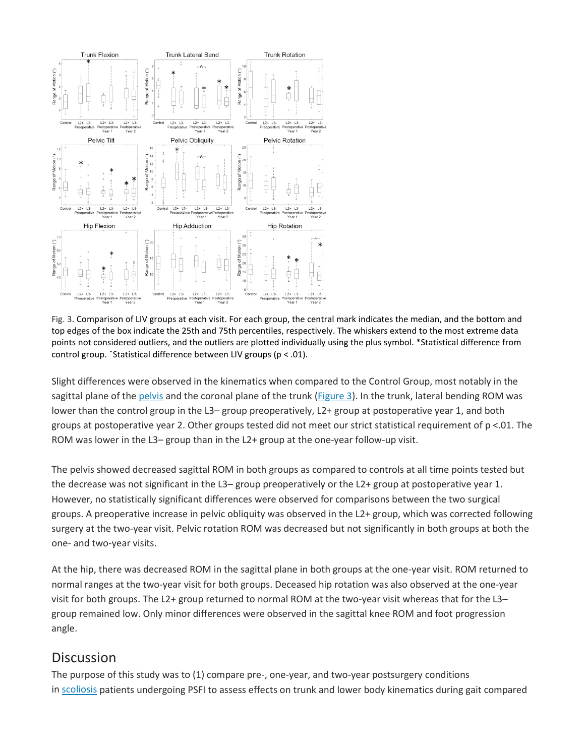

Fig. 3. Comparison of LIV groups at each visit. For each group, the central mark indicates the median, and the bottom and top edges of the box indicate the 25th and 75th percentiles, respectively. The whiskers extend to the most extreme data points not considered outliers, and the outliers are plotted individually using the plus symbol. \*Statistical difference from control group. ˆStatistical difference between LIV groups (p < .01).

Slight differences were observed in the kinematics when compared to the Control Group, most notably in the sagittal plane of the [pelvis](https://www.sciencedirect.com/topics/medicine-and-dentistry/pelvis) and the coronal plane of the trunk [\(Figure](https://www.sciencedirect.com/science/article/pii/S2212134X17304471?via%3Dihub#fig3) 3). In the trunk, lateral bending ROM was lower than the control group in the L3– group preoperatively, L2+ group at postoperative year 1, and both groups at postoperative year 2. Other groups tested did not meet our strict statistical requirement of p <.01. The ROM was lower in the L3– group than in the L2+ group at the one-year follow-up visit.

The pelvis showed decreased sagittal ROM in both groups as compared to controls at all time points tested but the decrease was not significant in the L3– group preoperatively or the L2+ group at postoperative year 1. However, no statistically significant differences were observed for comparisons between the two surgical groups. A preoperative increase in pelvic obliquity was observed in the L2+ group, which was corrected following surgery at the two-year visit. Pelvic rotation ROM was decreased but not significantly in both groups at both the one- and two-year visits.

At the hip, there was decreased ROM in the sagittal plane in both groups at the one-year visit. ROM returned to normal ranges at the two-year visit for both groups. Deceased hip rotation was also observed at the one-year visit for both groups. The L2+ group returned to normal ROM at the two-year visit whereas that for the L3– group remained low. Only minor differences were observed in the sagittal knee ROM and foot progression angle.

#### **Discussion**

The purpose of this study was to (1) compare pre-, one-year, and two-year postsurgery conditions in [scoliosis](https://www.sciencedirect.com/topics/medicine-and-dentistry/scoliosis) patients undergoing PSFI to assess effects on trunk and lower body kinematics during gait compared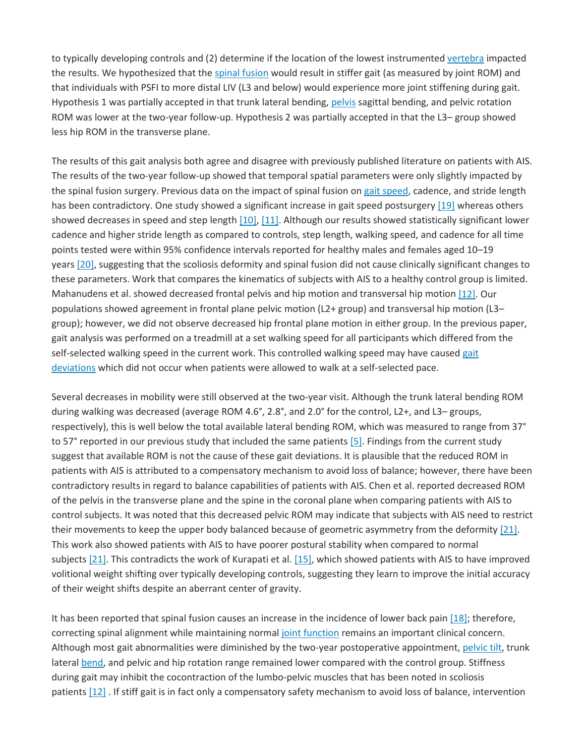to typically developing controls and (2) determine if the location of the lowest instrumented [vertebra](https://www.sciencedirect.com/topics/medicine-and-dentistry/vertebra) impacted the results. We hypothesized that the [spinal fusion](https://www.sciencedirect.com/topics/medicine-and-dentistry/spinal-fusion) would result in stiffer gait (as measured by joint ROM) and that individuals with PSFI to more distal LIV (L3 and below) would experience more joint stiffening during gait. Hypothesis 1 was partially accepted in that trunk lateral bending, [pelvis](https://www.sciencedirect.com/topics/medicine-and-dentistry/pelvis) sagittal bending, and pelvic rotation ROM was lower at the two-year follow-up. Hypothesis 2 was partially accepted in that the L3– group showed less hip ROM in the transverse plane.

The results of this gait analysis both agree and disagree with previously published literature on patients with AIS. The results of the two-year follow-up showed that temporal spatial parameters were only slightly impacted by the spinal fusion surgery. Previous data on the impact of spinal fusion on [gait speed,](https://www.sciencedirect.com/topics/medicine-and-dentistry/walking-speed) cadence, and stride length has been contradictory. One study showed a significant increase in gait speed postsurgery [\[19\]](https://www.sciencedirect.com/science/article/pii/S2212134X17304471?via%3Dihub#bib19) whereas others showed decreases in speed and step length [\[10\],](https://www.sciencedirect.com/science/article/pii/S2212134X17304471?via%3Dihub#bib10) [\[11\].](https://www.sciencedirect.com/science/article/pii/S2212134X17304471?via%3Dihub#bib11) Although our results showed statistically significant lower cadence and higher stride length as compared to controls, step length, walking speed, and cadence for all time points tested were within 95% confidence intervals reported for healthy males and females aged 10–19 years [\[20\],](https://www.sciencedirect.com/science/article/pii/S2212134X17304471?via%3Dihub#bib20) suggesting that the scoliosis deformity and spinal fusion did not cause clinically significant changes to these parameters. Work that compares the kinematics of subjects with AIS to a healthy control group is limited. Mahanudens et al. showed decreased frontal pelvis and hip motion and transversal hip motion [\[12\].](https://www.sciencedirect.com/science/article/pii/S2212134X17304471?via%3Dihub#bib12) Our populations showed agreement in frontal plane pelvic motion (L2+ group) and transversal hip motion (L3– group); however, we did not observe decreased hip frontal plane motion in either group. In the previous paper, gait analysis was performed on a treadmill at a set walking speed for all participants which differed from the self-selected walking speed in the current work. This controlled walking speed may have caused [gait](https://www.sciencedirect.com/topics/medicine-and-dentistry/gait-disorder)  [deviations](https://www.sciencedirect.com/topics/medicine-and-dentistry/gait-disorder) which did not occur when patients were allowed to walk at a self-selected pace.

Several decreases in mobility were still observed at the two-year visit. Although the trunk lateral bending ROM during walking was decreased (average ROM 4.6°, 2.8°, and 2.0° for the control, L2+, and L3– groups, respectively), this is well below the total available lateral bending ROM, which was measured to range from 37° to 57° reported in our previous study that included the same patients [\[5\].](https://www.sciencedirect.com/science/article/pii/S2212134X17304471?via%3Dihub#bib5) Findings from the current study suggest that available ROM is not the cause of these gait deviations. It is plausible that the reduced ROM in patients with AIS is attributed to a compensatory mechanism to avoid loss of balance; however, there have been contradictory results in regard to balance capabilities of patients with AIS. Chen et al. reported decreased ROM of the pelvis in the transverse plane and the spine in the coronal plane when comparing patients with AIS to control subjects. It was noted that this decreased pelvic ROM may indicate that subjects with AIS need to restrict their movements to keep the upper body balanced because of geometric asymmetry from the deformity [\[21\].](https://www.sciencedirect.com/science/article/pii/S2212134X17304471?via%3Dihub#bib21) This work also showed patients with AIS to have poorer postural stability when compared to normal subjects [\[21\].](https://www.sciencedirect.com/science/article/pii/S2212134X17304471?via%3Dihub#bib21) This contradicts the work of Kurapati et al. [\[15\],](https://www.sciencedirect.com/science/article/pii/S2212134X17304471?via%3Dihub#bib15) which showed patients with AIS to have improved volitional weight shifting over typically developing controls, suggesting they learn to improve the initial accuracy of their weight shifts despite an aberrant center of gravity.

It has been reported that spinal fusion causes an increase in the incidence of lower back pain [\[18\];](https://www.sciencedirect.com/science/article/pii/S2212134X17304471?via%3Dihub#bib18) therefore, correcting spinal alignment while maintaining normal [joint function](https://www.sciencedirect.com/topics/medicine-and-dentistry/joint-function) remains an important clinical concern. Although most gait abnormalities were diminished by the two-year postoperative appointment, [pelvic tilt,](https://www.sciencedirect.com/topics/medicine-and-dentistry/pelvic-tilt) trunk lateral [bend,](https://www.sciencedirect.com/topics/medicine-and-dentistry/chlordiazepoxide) and pelvic and hip rotation range remained lower compared with the control group. Stiffness during gait may inhibit the cocontraction of the lumbo-pelvic muscles that has been noted in scoliosis patients [\[12\]](https://www.sciencedirect.com/science/article/pii/S2212134X17304471?via%3Dihub#bib12) . If stiff gait is in fact only a compensatory safety mechanism to avoid loss of balance, intervention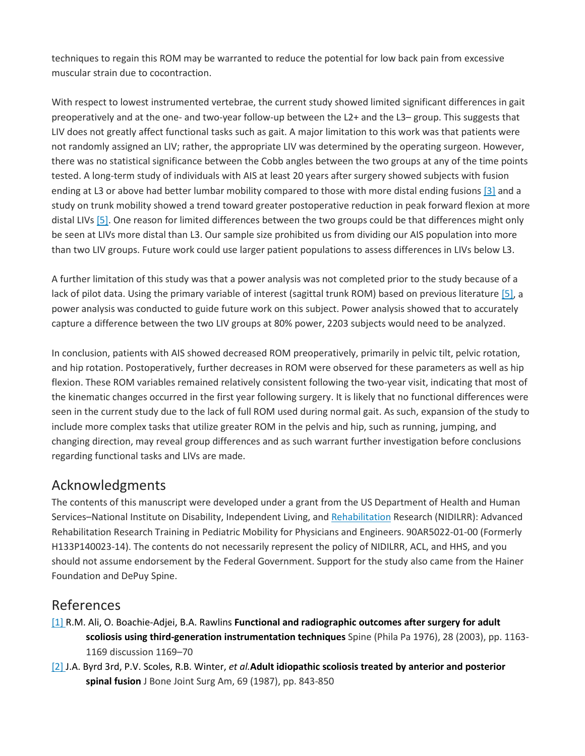techniques to regain this ROM may be warranted to reduce the potential for low back pain from excessive muscular strain due to cocontraction.

With respect to lowest instrumented vertebrae, the current study showed limited significant differences in gait preoperatively and at the one- and two-year follow-up between the L2+ and the L3– group. This suggests that LIV does not greatly affect functional tasks such as gait. A major limitation to this work was that patients were not randomly assigned an LIV; rather, the appropriate LIV was determined by the operating surgeon. However, there was no statistical significance between the Cobb angles between the two groups at any of the time points tested. A long-term study of individuals with AIS at least 20 years after surgery showed subjects with fusion ending at L3 or above had better lumbar mobility compared to those with more distal ending fusions [\[3\]](https://www.sciencedirect.com/science/article/pii/S2212134X17304471?via%3Dihub#bib3) and a study on trunk mobility showed a trend toward greater postoperative reduction in peak forward flexion at more distal LIVs [\[5\].](https://www.sciencedirect.com/science/article/pii/S2212134X17304471?via%3Dihub#bib5) One reason for limited differences between the two groups could be that differences might only be seen at LIVs more distal than L3. Our sample size prohibited us from dividing our AIS population into more than two LIV groups. Future work could use larger patient populations to assess differences in LIVs below L3.

A further limitation of this study was that a power analysis was not completed prior to the study because of a lack of pilot data. Using the primary variable of interest (sagittal trunk ROM) based on previous literature [\[5\],](https://www.sciencedirect.com/science/article/pii/S2212134X17304471?via%3Dihub#bib5) a power analysis was conducted to guide future work on this subject. Power analysis showed that to accurately capture a difference between the two LIV groups at 80% power, 2203 subjects would need to be analyzed.

In conclusion, patients with AIS showed decreased ROM preoperatively, primarily in pelvic tilt, pelvic rotation, and hip rotation. Postoperatively, further decreases in ROM were observed for these parameters as well as hip flexion. These ROM variables remained relatively consistent following the two-year visit, indicating that most of the kinematic changes occurred in the first year following surgery. It is likely that no functional differences were seen in the current study due to the lack of full ROM used during normal gait. As such, expansion of the study to include more complex tasks that utilize greater ROM in the pelvis and hip, such as running, jumping, and changing direction, may reveal group differences and as such warrant further investigation before conclusions regarding functional tasks and LIVs are made.

#### Acknowledgments

The contents of this manuscript were developed under a grant from the US Department of Health and Human Services–National Institute on Disability, Independent Living, and [Rehabilitation](https://www.sciencedirect.com/topics/medicine-and-dentistry/rehabilitation-engineering) Research (NIDILRR): Advanced Rehabilitation Research Training in Pediatric Mobility for Physicians and Engineers. 90AR5022-01-00 (Formerly H133P140023-14). The contents do not necessarily represent the policy of NIDILRR, ACL, and HHS, and you should not assume endorsement by the Federal Government. Support for the study also came from the Hainer Foundation and DePuy Spine.

#### References

- [\[1\]](https://www.sciencedirect.com/science/article/pii/S2212134X17304471?via%3Dihub#bbib1) R.M. Ali, O. Boachie-Adjei, B.A. Rawlins **Functional and radiographic outcomes after surgery for adult scoliosis using third-generation instrumentation techniques** Spine (Phila Pa 1976), 28 (2003), pp. 1163- 1169 discussion 1169–70
- [\[2\]](https://www.sciencedirect.com/science/article/pii/S2212134X17304471?via%3Dihub#bbib2) J.A. Byrd 3rd, P.V. Scoles, R.B. Winter, *et al.***Adult idiopathic scoliosis treated by anterior and posterior spinal fusion** J Bone Joint Surg Am, 69 (1987), pp. 843-850